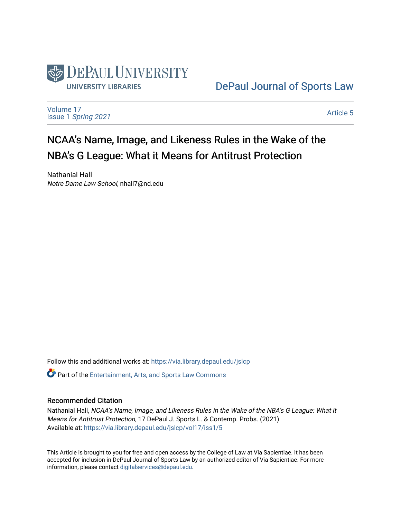

[DePaul Journal of Sports Law](https://via.library.depaul.edu/jslcp) 

[Volume 17](https://via.library.depaul.edu/jslcp/vol17) Issue 1 [Spring 2021](https://via.library.depaul.edu/jslcp/vol17/iss1) 

[Article 5](https://via.library.depaul.edu/jslcp/vol17/iss1/5) 

# NCAA's Name, Image, and Likeness Rules in the Wake of the NBA's G League: What it Means for Antitrust Protection

Nathanial Hall Notre Dame Law School, nhall7@nd.edu

Follow this and additional works at: [https://via.library.depaul.edu/jslcp](https://via.library.depaul.edu/jslcp?utm_source=via.library.depaul.edu%2Fjslcp%2Fvol17%2Fiss1%2F5&utm_medium=PDF&utm_campaign=PDFCoverPages)  **C** Part of the [Entertainment, Arts, and Sports Law Commons](http://network.bepress.com/hgg/discipline/893?utm_source=via.library.depaul.edu%2Fjslcp%2Fvol17%2Fiss1%2F5&utm_medium=PDF&utm_campaign=PDFCoverPages)

#### Recommended Citation

Nathanial Hall, NCAA's Name, Image, and Likeness Rules in the Wake of the NBA's G League: What it Means for Antitrust Protection, 17 DePaul J. Sports L. & Contemp. Probs. (2021) Available at: [https://via.library.depaul.edu/jslcp/vol17/iss1/5](https://via.library.depaul.edu/jslcp/vol17/iss1/5?utm_source=via.library.depaul.edu%2Fjslcp%2Fvol17%2Fiss1%2F5&utm_medium=PDF&utm_campaign=PDFCoverPages) 

This Article is brought to you for free and open access by the College of Law at Via Sapientiae. It has been accepted for inclusion in DePaul Journal of Sports Law by an authorized editor of Via Sapientiae. For more information, please contact [digitalservices@depaul.edu](mailto:digitalservices@depaul.edu).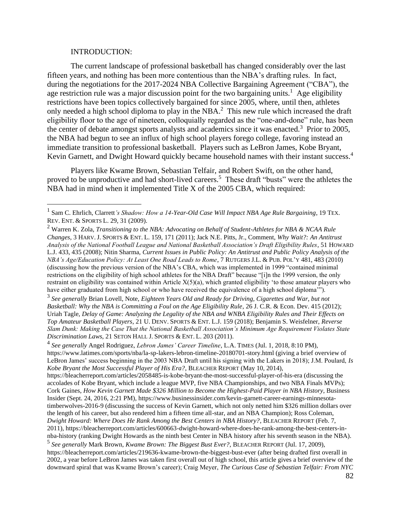#### INTRODUCTION:

The current landscape of professional basketball has changed considerably over the last fifteen years, and nothing has been more contentious than the NBA's drafting rules. In fact, during the negotiations for the 2017-2024 NBA Collective Bargaining Agreement ("CBA"), the age restriction rule was a major discussion point for the two bargaining units.<sup>1</sup> Age eligibility restrictions have been topics collectively bargained for since 2005, where, until then, athletes only needed a high school diploma to play in the NBA. $<sup>2</sup>$  This new rule which increased the draft</sup> eligibility floor to the age of nineteen, colloquially regarded as the "one-and-done" rule, has been the center of debate amongst sports analysts and academics since it was enacted.<sup>3</sup> Prior to 2005, the NBA had begun to see an influx of high school players forego college, favoring instead an immediate transition to professional basketball. Players such as LeBron James, Kobe Bryant, Kevin Garnett, and Dwight Howard quickly became household names with their instant success.<sup>4</sup>

Players like Kwame Brown, Sebastian Telfair, and Robert Swift, on the other hand, proved to be unproductive and had short-lived careers.<sup>5</sup> These draft "busts" were the athletes the NBA had in mind when it implemented Title X of the 2005 CBA, which required:

<sup>&</sup>lt;sup>1</sup> Sam C. Ehrlich, Clarrett*'s Shadow: How a 14-Year-Old Case Will Impact NBA Age Rule Bargaining*, 19 TEX. REV. ENT. & SPORTS L. 29, 31 (2009).

<sup>2</sup> Warren K. Zola, *Transitioning to the NBA: Advocating on Behalf of Student-Athletes for NBA & NCAA Rule Changes*, 3 HARV. J. SPORTS & ENT. L. 159, 171 (2011); Jack N.E. Pitts, Jr., Comment, *Why Wait?: An Antitrust Analysis of the National Football League and National Basketball Association's Draft Eligibility Rules*, 51 HOWARD L.J. 433, 435 (2008); Nitin Sharma, *Current Issues in Public Policy: An Antitrust and Public Policy Analysis of the NBA's Age/Education Policy: At Least One Road Leads to Rome*, 7 RUTGERS J.L. & PUB. POL'Y 481, 483 (2010) (discussing how the previous version of the NBA's CBA, which was implemented in 1999 "contained minimal restrictions on the eligibility of high school athletes for the NBA Draft" because "[i]n the 1999 version, the only restraint on eligibility was contained within Article  $X(5)(a)$ , which granted eligibility 'to those amateur players who have either graduated from high school or who have received the equivalence of a high school diploma'").

<sup>3</sup> *See generally* Brian Lovell, Note, *Eighteen Years Old and Ready for Driving, Cigarettes and War, but not Basketball: Why the NBA is Committing a Foul on the Age Eligibility Rule*, 26 J. C.R. & Econ. Dev. 415 (2012); Uriah Tagle, *Delay of Game: Analyzing the Legality of the NBA and WNBA Eligibility Rules and Their Effects on Top Amateur Basketball Players*, 21 U. DENV. SPORTS & ENT. L.J. 159 (2018); Benjamin S. Weisfelner, *Reverse Slam Dunk: Making the Case That the National Basketball Association's Minimum Age Requirement Violates State Discrimination Laws*, 21 SETON HALL J. SPORTS & ENT. L. 203 (2011).

<sup>4</sup> *See generally* Angel Rodriguez, *Lebron James' Career Timeline*, L.A. TIMES (Jul. 1, 2018, 8:10 PM), https://www.latimes.com/sports/nba/la-sp-lakers-lebron-timeline-20180701-story.html (giving a brief overview of LeBron James' success beginning in the 2003 NBA Draft until his signing with the Lakers in 2018); J.M. Poulard, *Is Kobe Bryant the Most Successful Player of His Era?*, BLEACHER REPORT (May 10, 2014),

https://bleacherreport.com/articles/2058485-is-kobe-bryant-the-most-successful-player-of-his-era (discussing the accolades of Kobe Bryant, which include a league MVP, five NBA Championships, and two NBA Finals MVPs); Cork Gaines, *How Kevin Garnett Made \$326 Million to Become the Highest-Paid Player in NBA History*, Business Insider (Sept. 24, 2016, 2:21 PM), https://www.businessinsider.com/kevin-garnett-career-earnings-minnesotatimberwolves-2016-9 (discussing the success of Kevin Garnett, which not only netted him \$326 million dollars over the length of his career, but also rendered him a fifteen time all-star, and an NBA Champion); Ross Coleman, *Dwight Howard: Where Does He Rank Among the Best Centers in NBA History?*, BLEACHER REPORT (Feb. 7, 2011), https://bleacherreport.com/articles/600663-dwight-howard-where-does-he-rank-among-the-best-centers-innba-history (ranking Dwight Howards as the ninth best Center in NBA history after his seventh season in the NBA).

<sup>5</sup> *See generally* Mark Brown, *Kwame Brown: The Biggest Bust Ever?*, BLEACHER REPORT (Jul. 17, 2009), https://bleacherreport.com/articles/219636-kwame-brown-the-biggest-bust-ever (after being drafted first overall in 2002, a year before LeBron James was taken first overall out of high school, this article gives a brief overview of the downward spiral that was Kwame Brown's career); Craig Meyer, *The Curious Case of Sebastian Telfair: From NYC*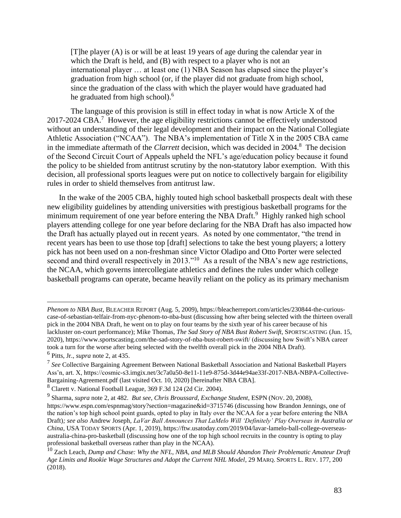[T]he player (A) is or will be at least 19 years of age during the calendar year in which the Draft is held, and (B) with respect to a player who is not an international player … at least one (1) NBA Season has elapsed since the player's graduation from high school (or, if the player did not graduate from high school, since the graduation of the class with which the player would have graduated had he graduated from high school).<sup>6</sup>

The language of this provision is still in effect today in what is now Article X of the 2017-2024 CBA.<sup>7</sup> However, the age eligibility restrictions cannot be effectively understood without an understanding of their legal development and their impact on the National Collegiate Athletic Association ("NCAA"). The NBA's implementation of Title X in the 2005 CBA came in the immediate aftermath of the *Clarrett* decision, which was decided in 2004.<sup>8</sup> The decision of the Second Circuit Court of Appeals upheld the NFL's age/education policy because it found the policy to be shielded from antitrust scrutiny by the non-statutory labor exemption. With this decision, all professional sports leagues were put on notice to collectively bargain for eligibility rules in order to shield themselves from antitrust law.

In the wake of the 2005 CBA, highly touted high school basketball prospects dealt with these new eligibility guidelines by attending universities with prestigious basketball programs for the minimum requirement of one year before entering the NBA Draft.<sup>9</sup> Highly ranked high school players attending college for one year before declaring for the NBA Draft has also impacted how the Draft has actually played out in recent years. As noted by one commentator, "the trend in recent years has been to use those top [draft] selections to take the best young players; a lottery pick has not been used on a non-freshman since Victor Oladipo and Otto Porter were selected second and third overall respectively in 2013."<sup>10</sup> As a result of the NBA's new age restrictions, the NCAA, which governs intercollegiate athletics and defines the rules under which college basketball programs can operate, became heavily reliant on the policy as its primary mechanism

*Phenom to NBA Bust*, BLEACHER REPORT (Aug. 5, 2009), https://bleacherreport.com/articles/230844-the-curiouscase-of-sebastian-telfair-from-nyc-phenom-to-nba-bust (discussing how after being selected with the thirteen overall pick in the 2004 NBA Draft, he went on to play on four teams by the sixth year of his career because of his lackluster on-court performance); Mike Thomas, *The Sad Story of NBA Bust Robert Swift*, SPORTSCASTING (Jun. 15, 2020), https://www.sportscasting.com/the-sad-story-of-nba-bust-robert-swift/ (discussing how Swift's NBA career took a turn for the worse after being selected with the twelfth overall pick in the 2004 NBA Draft). 6 Pitts, Jr., *supra* note 2, at 435.

<sup>7</sup> *See* Collective Bargaining Agreement Between National Basketball Association and National Basketball Players Ass'n, art. X, https://cosmic-s3.imgix.net/3c7a0a50-8e11-11e9-875d-3d44e94ae33f-2017-NBA-NBPA-Collective-Bargaining-Agreement.pdf (last visited Oct. 10, 2020) [hereinafter NBA CBA].

<sup>8</sup> Clarett v. National Football League, 369 F.3d 124 (2d Cir. 2004).

<sup>9</sup> Sharma, *supra* note 2, at 482. *But see*, *Chris Broussard*, *Exchange Student*, ESPN (NOV. 20, 2008), https://www.espn.com/espnmag/story?section=magazine&id=3715746 (discussing how Brandon Jennings, one of the nation's top high school point guards, opted to play in Italy over the NCAA for a year before entering the NBA Draft)*; see also* Andrew Joseph, *LaVar Ball Announces That LaMelo Will 'Definitely' Play Overseas in Australia or China*, USA TODAY SPORTS (Apr. 1, 2019), https://ftw.usatoday.com/2019/04/lavar-lamelo-ball-college-overseasaustralia-china-pro-basketball (discussing how one of the top high school recruits in the country is opting to play professional basketball overseas rather than play in the NCAA).

<sup>10</sup> Zach Leach, *Dump and Chase: Why the NFL, NBA, and MLB Should Abandon Their Problematic Amateur Draft Age Limits and Rookie Wage Structures and Adopt the Current NHL Model*, 29 MARQ. SPORTS L. REV. 177, 200 (2018).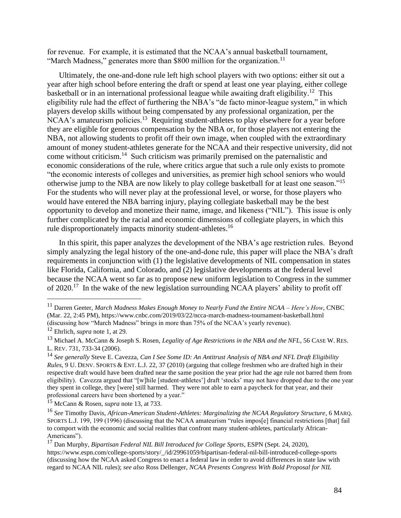for revenue. For example, it is estimated that the NCAA's annual basketball tournament, "March Madness," generates more than \$800 million for the organization.<sup>11</sup>

Ultimately, the one-and-done rule left high school players with two options: either sit out a year after high school before entering the draft or spend at least one year playing, either college basketball or in an international professional league while awaiting draft eligibility.<sup>12</sup> This eligibility rule had the effect of furthering the NBA's "de facto minor-league system," in which players develop skills without being compensated by any professional organization, per the NCAA's amateurism policies.<sup>13</sup> Requiring student-athletes to play elsewhere for a year before they are eligible for generous compensation by the NBA or, for those players not entering the NBA, not allowing students to profit off their own image, when coupled with the extraordinary amount of money student-athletes generate for the NCAA and their respective university, did not come without criticism.<sup>14</sup> Such criticism was primarily premised on the paternalistic and economic considerations of the rule, where critics argue that such a rule only exists to promote "the economic interests of colleges and universities, as premier high school seniors who would otherwise jump to the NBA are now likely to play college basketball for at least one season."<sup>15</sup> For the students who will never play at the professional level, or worse, for those players who would have entered the NBA barring injury, playing collegiate basketball may be the best opportunity to develop and monetize their name, image, and likeness ("NIL"). This issue is only further complicated by the racial and economic dimensions of collegiate players, in which this rule disproportionately impacts minority student-athletes.<sup>16</sup>

In this spirit, this paper analyzes the development of the NBA's age restriction rules. Beyond simply analyzing the legal history of the one-and-done rule, this paper will place the NBA's draft requirements in conjunction with (1) the legislative developments of NIL compensation in states like Florida, California, and Colorado, and (2) legislative developments at the federal level because the NCAA went so far as to propose new uniform legislation to Congress in the summer of 2020.<sup>17</sup> In the wake of the new legislation surrounding NCAA players' ability to profit off

<sup>11</sup> Darren Geeter, *March Madness Makes Enough Money to Nearly Fund the Entire NCAA – Here's How*, CNBC (Mar. 22, 2:45 PM), https://www.cnbc.com/2019/03/22/ncca-march-madness-tournament-basketball.html (discussing how "March Madness" brings in more than 75% of the NCAA's yearly revenue).

<sup>12</sup> Ehrlich, *supra* note 1, at 29.

<sup>13</sup> Michael A. McCann & Joseph S. Rosen, *Legality of Age Restrictions in the NBA and the NFL*, 56 CASE W. RES. L. REV. 731, 733-34 (2006).

<sup>14</sup> *See generally* Steve E. Cavezza, *Can I See Some ID: An Antitrust Analysis of NBA and NFL Draft Eligibility Rules*, 9 U. DENV. SPORTS & ENT. L.J. 22, 37 (2010) (arguing that college freshmen who are drafted high in their respective draft would have been drafted near the same position the year prior had the age rule not barred them from eligibility). Cavezza argued that "[w]hile [student-athletes'] draft 'stocks' may not have dropped due to the one year they spent in college, they [were] still harmed. They were not able to earn a paycheck for that year, and their professional careers have been shortened by a year."

<sup>15</sup> McCann & Rosen, *supra* note 13, at 733.

<sup>16</sup> *See* Timothy Davis, *African-American Student-Athletes: Marginalizing the NCAA Regulatory Structure*, 6 MARQ. SPORTS L.J. 199, 199 (1996) (discussing that the NCAA amateurism "rules impos[e] financial restrictions [that] fail to comport with the economic and social realities that confront many student-athletes, particularly African-Americans").

<sup>17</sup> Dan Murphy, *Bipartisan Federal NIL Bill Introduced for College Sports*, ESPN (Sept. 24, 2020), https://www.espn.com/college-sports/story/\_/id/29961059/bipartisan-federal-nil-bill-introduced-college-sports (discussing how the NCAA asked Congress to enact a federal law in order to avoid differences in state law with regard to NCAA NIL rules); *see also* Ross Dellenger, *NCAA Presents Congress With Bold Proposal for NIL*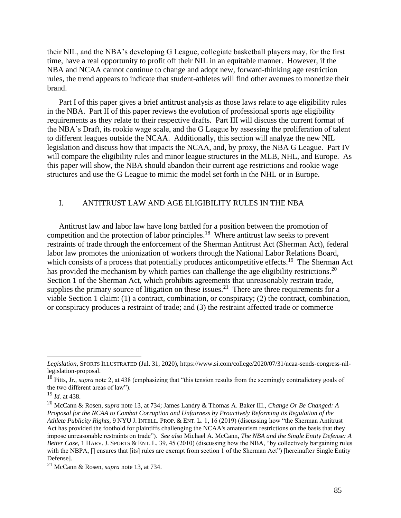their NIL, and the NBA's developing G League, collegiate basketball players may, for the first time, have a real opportunity to profit off their NIL in an equitable manner. However, if the NBA and NCAA cannot continue to change and adopt new, forward-thinking age restriction rules, the trend appears to indicate that student-athletes will find other avenues to monetize their brand.

Part I of this paper gives a brief antitrust analysis as those laws relate to age eligibility rules in the NBA. Part II of this paper reviews the evolution of professional sports age eligibility requirements as they relate to their respective drafts. Part III will discuss the current format of the NBA's Draft, its rookie wage scale, and the G League by assessing the proliferation of talent to different leagues outside the NCAA. Additionally, this section will analyze the new NIL legislation and discuss how that impacts the NCAA, and, by proxy, the NBA G League. Part IV will compare the eligibility rules and minor league structures in the MLB, NHL, and Europe. As this paper will show, the NBA should abandon their current age restrictions and rookie wage structures and use the G League to mimic the model set forth in the NHL or in Europe.

### I. ANTITRUST LAW AND AGE ELIGIBILITY RULES IN THE NBA

Antitrust law and labor law have long battled for a position between the promotion of competition and the protection of labor principles.<sup>18</sup> Where antitrust law seeks to prevent restraints of trade through the enforcement of the Sherman Antitrust Act (Sherman Act), federal labor law promotes the unionization of workers through the National Labor Relations Board, which consists of a process that potentially produces anticompetitive effects.<sup>19</sup> The Sherman Act has provided the mechanism by which parties can challenge the age eligibility restrictions.<sup>20</sup> Section 1 of the Sherman Act, which prohibits agreements that unreasonably restrain trade, supplies the primary source of litigation on these issues.<sup>21</sup> There are three requirements for a viable Section 1 claim: (1) a contract, combination, or conspiracy; (2) the contract, combination, or conspiracy produces a restraint of trade; and (3) the restraint affected trade or commerce

<sup>19</sup> *Id.* at 438.

*Legislation*, SPORTS ILLUSTRATED (Jul. 31, 2020), https://www.si.com/college/2020/07/31/ncaa-sends-congress-nillegislation-proposal.

<sup>18</sup> Pitts, Jr., *supra* note 2, at 438 (emphasizing that "this tension results from the seemingly contradictory goals of the two different areas of law").

<sup>20</sup> McCann & Rosen, *supra* note 13, at 734; James Landry & Thomas A. Baker III., *Change Or Be Changed: A Proposal for the NCAA to Combat Corruption and Unfairness by Proactively Reforming its Regulation of the Athlete Publicity Rights*, 9 NYU J. INTELL. PROP. & ENT. L. 1, 16 (2019) (discussing how "the Sherman Antitrust Act has provided the foothold for plaintiffs challenging the NCAA's amateurism restrictions on the basis that they impose unreasonable restraints on trade"). *See also* Michael A. McCann, *The NBA and the Single Entity Defense: A Better Case*, 1 HARV. J. SPORTS & ENT. L. 39, 45 (2010) (discussing how the NBA, "by collectively bargaining rules with the NBPA,  $\lceil \rceil$  ensures that [its] rules are exempt from section 1 of the Sherman Act") [hereinafter Single Entity Defense].

<sup>21</sup> McCann & Rosen, *supra* note 13, at 734.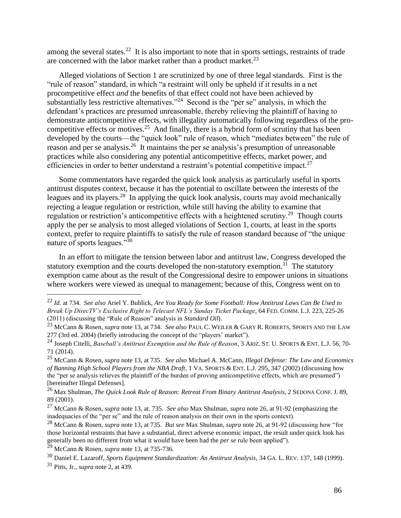among the several states.<sup>22</sup> It is also important to note that in sports settings, restraints of trade are concerned with the labor market rather than a product market.<sup>23</sup>

Alleged violations of Section 1 are scrutinized by one of three legal standards. First is the "rule of reason" standard, in which "a restraint will only be upheld if it results in a net procompetitive effect *and* the benefits of that effect could not have been achieved by substantially less restrictive alternatives."<sup>24</sup> Second is the "per se" analysis, in which the defendant's practices are presumed unreasonable, thereby relieving the plaintiff of having to demonstrate anticompetitive effects, with illegality automatically following regardless of the procompetitive effects or motives.<sup>25</sup> And finally, there is a hybrid form of scrutiny that has been developed by the courts—the "quick look" rule of reason, which "mediates between" the rule of reason and per se analysis.<sup>26</sup> It maintains the per se analysis's presumption of unreasonable practices while also considering any potential anticompetitive effects, market power, and efficiencies in order to better understand a restraint's potential competitive impact. $27$ 

Some commentators have regarded the quick look analysis as particularly useful in sports antitrust disputes context, because it has the potential to oscillate between the interests of the leagues and its players.<sup>28</sup> In applying the quick look analysis, courts may avoid mechanically rejecting a league regulation or restriction, while still having the ability to examine that regulation or restriction's anticompetitive effects with a heightened scrutiny.<sup>29</sup> Though courts apply the per se analysis to most alleged violations of Section 1, courts, at least in the sports context, prefer to require plaintiffs to satisfy the rule of reason standard because of "the unique nature of sports leagues."<sup>30</sup>

In an effort to mitigate the tension between labor and antitrust law, Congress developed the statutory exemption and the courts developed the non-statutory exemption.<sup>31</sup> The statutory exemption came about as the result of the Congressional desire to empower unions in situations where workers were viewed as unequal to management; because of this, Congress went on to

<sup>22</sup> *Id.* at 734. *See also* Ariel Y. Bublick, *Are You Ready for Some Football: How Antitrust Laws Can Be Used to Break Up DirecTV's Exclusive Right to Telecast NFL's Sunday Ticket Package*, 64 FED. COMM. L.J. 223, 225-26 (2011) (discussing the "Rule of Reason" analysis in *Standard Oil*).

<sup>23</sup> McCann & Rosen, *supra* note 13, at 734. *See also* PAUL C. WEILER & GARY R. ROBERTS, SPORTS AND THE LAW 277 (3rd ed. 2004) (briefly introducing the concept of the "players' market").

<sup>24</sup> Joseph Citelli, *Baseball's Antitrust Exemption and the Rule of Reason*, 3 ARIZ. ST. U. SPORTS & ENT. L.J. 56, 70- 71 (2014).

<sup>25</sup> McCann & Rosen, *supra* note 13, at 735. *See also* Michael A. McCann, *Illegal Defense: The Law and Economics of Banning High School Players from the NBA Draft*, 1 VA. SPORTS & ENT. L.J. 295, 347 (2002) (discussing how the "per se analysis relieves the plaintiff of the burden of proving anticompetitive effects, which are presumed") [hereinafter Illegal Defenses].

<sup>26</sup> Max Shulman, *The Quick Look Rule of Reason: Retreat From Binary Antitrust Analysis*, 2 SEDONA CONF. J. 89, 89 (2001).

<sup>27</sup> McCann & Rosen, *supra* note 13, at. 735. *See also* Max Shulman, *supra* note 26, at 91-92 (emphasizing the inadequacies of the "per se" and the rule of reason analysis on their own in the sports context).

<sup>28</sup> McCann & Rosen, *supra* note 13, at 735. *But see* Max Shulman, *supra* note 26, at 91-92 (discussing how "for those horizontal restraints that have a substantial, direct adverse economic impact, the result under quick look has generally been no different from what it would have been had the *per se* rule been applied").

<sup>29</sup> McCann & Rosen, *supra* note 13, at 735-736.

<sup>30</sup> Daniel E. Lazaroff, *Sports Equipment Standardization: An Antitrust Analysis*, 34 GA. L. REV. 137, 148 (1999).

<sup>31</sup> Pitts, Jr., *supra* note 2, at 439.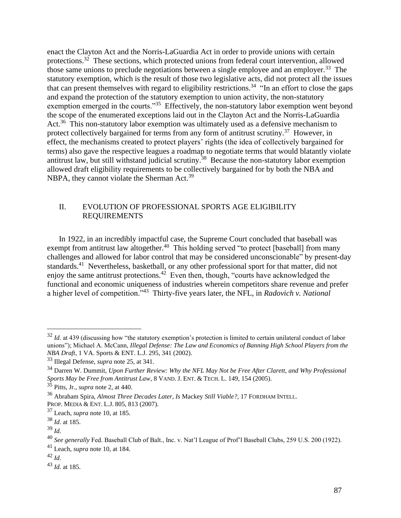enact the Clayton Act and the Norris-LaGuardia Act in order to provide unions with certain protections.<sup>32</sup> These sections, which protected unions from federal court intervention, allowed those same unions to preclude negotiations between a single employee and an employer.<sup>33</sup> The statutory exemption, which is the result of those two legislative acts, did not protect all the issues that can present themselves with regard to eligibility restrictions.<sup>34</sup> "In an effort to close the gaps and expand the protection of the statutory exemption to union activity, the non-statutory exemption emerged in the courts."<sup>35</sup> Effectively, the non-statutory labor exemption went beyond the scope of the enumerated exceptions laid out in the Clayton Act and the Norris-LaGuardia Act.<sup>36</sup> This non-statutory labor exemption was ultimately used as a defensive mechanism to protect collectively bargained for terms from any form of antitrust scrutiny.<sup>37</sup> However, in effect, the mechanisms created to protect players' rights (the idea of collectively bargained for terms) also gave the respective leagues a roadmap to negotiate terms that would blatantly violate antitrust law, but still withstand judicial scrutiny.<sup>38</sup> Because the non-statutory labor exemption allowed draft eligibility requirements to be collectively bargained for by both the NBA and NBPA, they cannot violate the Sherman Act.<sup>39</sup>

### II. EVOLUTION OF PROFESSIONAL SPORTS AGE ELIGIBILITY REQUIREMENTS

In 1922, in an incredibly impactful case, the Supreme Court concluded that baseball was exempt from antitrust law altogether.<sup>40</sup> This holding served "to protect [baseball] from many challenges and allowed for labor control that may be considered unconscionable" by present-day standards.<sup>41</sup> Nevertheless, basketball, or any other professional sport for that matter, did not enjoy the same antitrust protections.<sup>42</sup> Even then, though, "courts have acknowledged the functional and economic uniqueness of industries wherein competitors share revenue and prefer a higher level of competition."<sup>43</sup> Thirty-five years later, the NFL, in *Radovich v. National* 

<sup>&</sup>lt;sup>32</sup> *Id.* at 439 (discussing how "the statutory exemption's protection is limited to certain unilateral conduct of labor unions"); Michael A. McCann, *Illegal Defense: The Law and Economics of Banning High School Players from the NBA Draft*, 1 VA. Sports & ENT. L.J. 295, 341 (2002).

<sup>33</sup> Illegal Defense, *supra* note 25, at 341.

<sup>34</sup> Darren W. Dummit, *Upon Further Review: Why the NFL May Not be Free After Clarett, and Why Professional Sports May be Free from Antitrust Law*, 8 VAND. J. ENT. & TECH. L. 149, 154 (2005).

<sup>35</sup> Pitts, Jr., *supra* note 2, at 440.

<sup>36</sup> Abraham Spira, *Almost Three Decades Later, Is* Mackey *Still Viable?*, 17 FORDHAM INTELL. PROP. MEDIA & ENT. L.J. 805, 813 (2007).

<sup>37</sup> Leach, *supra* note 10, at 185.

<sup>38</sup> *Id.* at 185.

<sup>39</sup> *Id.*

<sup>40</sup> *See generally* Fed. Baseball Club of Balt., Inc. v. Nat'l League of Prof'l Baseball Clubs, 259 U.S. 200 (1922).

<sup>41</sup> Leach, *supra* note 10, at 184.

<sup>42</sup> *Id.*

<sup>43</sup> *Id.* at 185.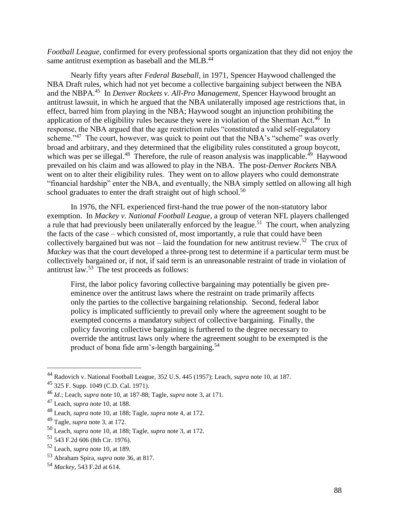*Football League*, confirmed for every professional sports organization that they did not enjoy the same antitrust exemption as baseball and the MLB. $^{4\overline{4}}$ 

Nearly fifty years after *Federal Baseball*, in 1971, Spencer Haywood challenged the NBA Draft rules, which had not yet become a collective bargaining subject between the NBA and the NBPA.<sup>45</sup> In *Denver Rockets v. All-Pro Management*, Spencer Haywood brought an antitrust lawsuit, in which he argued that the NBA unilaterally imposed age restrictions that, in effect, barred him from playing in the NBA; Haywood sought an injunction prohibiting the application of the eligibility rules because they were in violation of the Sherman Act.<sup>46</sup> In response, the NBA argued that the age restriction rules "constituted a valid self-regulatory scheme."<sup>47</sup> The court, however, was quick to point out that the NBA's "scheme" was overly broad and arbitrary, and they determined that the eligibility rules constituted a group boycott, which was per se illegal.<sup>48</sup> Therefore, the rule of reason analysis was inapplicable.<sup>49</sup> Haywood prevailed on his claim and was allowed to play in the NBA. The post-*Denver Rockets* NBA went on to alter their eligibility rules. They went on to allow players who could demonstrate "financial hardship" enter the NBA, and eventually, the NBA simply settled on allowing all high school graduates to enter the draft straight out of high school.<sup>50</sup>

In 1976, the NFL experienced first-hand the true power of the non-statutory labor exemption. In *Mackey v. National Football League*, a group of veteran NFL players challenged a rule that had previously been unilaterally enforced by the league.<sup>51</sup> The court, when analyzing the facts of the case – which consisted of, most importantly, a rule that could have been collectively bargained but was not  $-$  laid the foundation for new antitrust review.<sup>52</sup> The crux of *Mackey* was that the court developed a three-prong test to determine if a particular term must be collectively bargained or, if not, if said term is an unreasonable restraint of trade in violation of antitrust law.<sup>53</sup> The test proceeds as follows:

First, the labor policy favoring collective bargaining may potentially be given preeminence over the antitrust laws where the restraint on trade primarily affects only the parties to the collective bargaining relationship. Second, federal labor policy is implicated sufficiently to prevail only where the agreement sought to be exempted concerns a mandatory subject of collective bargaining. Finally, the policy favoring collective bargaining is furthered to the degree necessary to override the antitrust laws only where the agreement sought to be exempted is the product of bona fide arm's-length bargaining.<sup>54</sup>

<sup>44</sup> Radovich v. National Football League, 352 U.S. 445 (1957); Leach, *supra* note 10, at 187.

<sup>45</sup> 325 F. Supp. 1049 (C.D. Cal. 1971).

<sup>46</sup> *Id.*; Leach, *supra* note 10, at 187-88; Tagle, *supra* note 3, at 171.

<sup>47</sup> Leach, *supra* note 10, at 188.

<sup>48</sup> Leach, *supra* note 10, at 188; Tagle, *supra* note 4, at 172.

<sup>49</sup> Tagle, *supra* note 3, at 172.

<sup>50</sup> Leach, *supra* note 10, at 188; Tagle, *supra* note 3, at 172.

<sup>51</sup> 543 F.2d 606 (8th Cir. 1976).

<sup>52</sup> Leach, *supra* note 10, at 189.

<sup>53</sup> Abraham Spira, *supra* note 36, at 817.

<sup>54</sup> *Mackey*, 543 F.2d at 614.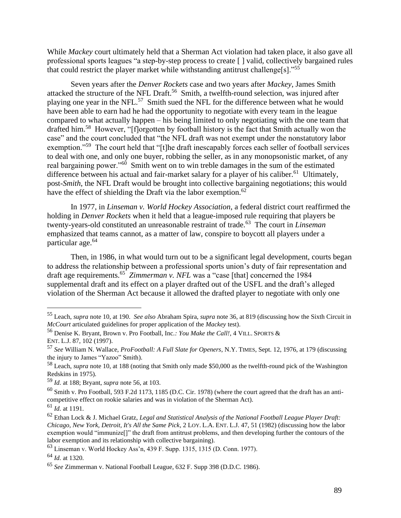While *Mackey* court ultimately held that a Sherman Act violation had taken place, it also gave all professional sports leagues "a step-by-step process to create [ ] valid, collectively bargained rules that could restrict the player market while withstanding antitrust challenge[s]."<sup>55</sup>

Seven years after the *Denver Rockets* case and two years after *Mackey*, James Smith attacked the structure of the NFL Draft.<sup>56</sup> Smith, a twelfth-round selection, was injured after playing one year in the NFL.<sup>57</sup> Smith sued the NFL for the difference between what he would have been able to earn had he had the opportunity to negotiate with every team in the league compared to what actually happen – his being limited to only negotiating with the one team that drafted him.<sup>58</sup> However, "[f]orgotten by football history is the fact that Smith actually won the case" and the court concluded that "the NFL draft was not exempt under the nonstatutory labor exemption."<sup>59</sup> The court held that "[t]he draft inescapably forces each seller of football services to deal with one, and only one buyer, robbing the seller, as in any monopsonistic market, of any real bargaining power."<sup>60</sup> Smith went on to win treble damages in the sum of the estimated difference between his actual and fair-market salary for a player of his caliber.<sup>61</sup> Ultimately, post-*Smith*, the NFL Draft would be brought into collective bargaining negotiations; this would have the effect of shielding the Draft via the labor exemption.<sup>62</sup>

In 1977, in *Linseman v. World Hockey Association*, a federal district court reaffirmed the holding in *Denver Rockets* when it held that a league-imposed rule requiring that players be twenty-years-old constituted an unreasonable restraint of trade.<sup>63</sup> The court in *Linseman* emphasized that teams cannot, as a matter of law, conspire to boycott all players under a particular age.<sup>64</sup>

Then, in 1986, in what would turn out to be a significant legal development, courts began to address the relationship between a professional sports union's duty of fair representation and draft age requirements.<sup>65</sup> Zimmerman v. NFL was a "case [that] concerned the 1984 supplemental draft and its effect on a player drafted out of the USFL and the draft's alleged violation of the Sherman Act because it allowed the drafted player to negotiate with only one

<sup>55</sup> Leach, *supra* note 10, at 190. *See also* Abraham Spira, *supra* note 36, at 819 (discussing how the Sixth Circuit in *McCourt* articulated guidelines for proper application of the *Mackey* test).

<sup>56</sup> Denise K. Bryant, Brown v. Pro Football, Inc.*: You Make the Call!*, 4 VILL. SPORTS & ENT. L.J. 87, 102 (1997).

<sup>57</sup> *See* William N. Wallace, *ProFootball: A Full Slate for Openers*, N.Y. TIMES, Sept. 12, 1976, at 179 (discussing the injury to James "Yazoo" Smith).

<sup>58</sup> Leach, *supra* note 10, at 188 (noting that Smith only made \$50,000 as the twelfth-round pick of the Washington Redskins in 1975).

<sup>59</sup> *Id.* at 188; Bryant, *supra* note 56, at 103.

 $^{60}$  Smith v. Pro Football, 593 F.2d 1173, 1185 (D.C. Cir. 1978) (where the court agreed that the draft has an anticompetitive effect on rookie salaries and was in violation of the Sherman Act).

<sup>61</sup> *Id.* at 1191.

<sup>62</sup> Ethan Lock & J. Michael Gratz, *Legal and Statistical Analysis of the National Football League Player Draft: Chicago, New York, Detroit, It's All the Same Pick*, 2 LOY. L.A. ENT. L.J. 47, 51 (1982) (discussing how the labor exemption would "immunize[]" the draft from antitrust problems, and then developing further the contours of the labor exemption and its relationship with collective bargaining).

<sup>63</sup> Linseman v. World Hockey Ass'n, 439 F. Supp. 1315, 1315 (D. Conn. 1977).

<sup>64</sup> *Id.* at 1320.

<sup>65</sup> *See* Zimmerman v. National Football League, 632 F. Supp 398 (D.D.C. 1986).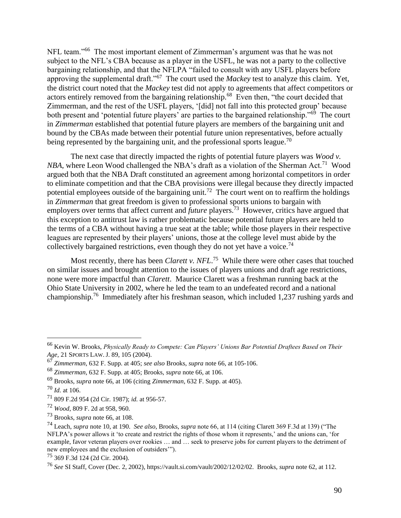NFL team."<sup>66</sup> The most important element of Zimmerman's argument was that he was not subject to the NFL's CBA because as a player in the USFL, he was not a party to the collective bargaining relationship, and that the NFLPA "failed to consult with any USFL players before approving the supplemental draft."<sup>67</sup> The court used the *Mackey* test to analyze this claim. Yet, the district court noted that the *Mackey* test did not apply to agreements that affect competitors or actors entirely removed from the bargaining relationship.<sup>68</sup> Even then, "the court decided that Zimmerman, and the rest of the USFL players, '[did] not fall into this protected group' because both present and 'potential future players' are parties to the bargained relationship."<sup>69</sup> The court in *Zimmerman* established that potential future players are members of the bargaining unit and bound by the CBAs made between their potential future union representatives, before actually being represented by the bargaining unit, and the professional sports league.<sup>70</sup>

The next case that directly impacted the rights of potential future players was *Wood v. NBA*, where Leon Wood challenged the NBA's draft as a violation of the Sherman Act.<sup>71</sup> Wood argued both that the NBA Draft constituted an agreement among horizontal competitors in order to eliminate competition and that the CBA provisions were illegal because they directly impacted potential employees outside of the bargaining unit.<sup>72</sup> The court went on to reaffirm the holdings in *Zimmerman* that great freedom is given to professional sports unions to bargain with employers over terms that affect current and *future* players.<sup>73</sup> However, critics have argued that this exception to antitrust law is rather problematic because potential future players are held to the terms of a CBA without having a true seat at the table; while those players in their respective leagues are represented by their players' unions, those at the college level must abide by the collectively bargained restrictions, even though they do not yet have a voice.<sup>74</sup>

Most recently, there has been *Clarett v. NFL*. 75 While there were other cases that touched on similar issues and brought attention to the issues of players unions and draft age restrictions, none were more impactful than *Clarett*. Maurice Clarett was a freshman running back at the Ohio State University in 2002, where he led the team to an undefeated record and a national championship.<sup>76</sup> Immediately after his freshman season, which included 1,237 rushing yards and

<sup>66</sup> Kevin W. Brooks, *Physically Ready to Compete: Can Players' Unions Bar Potential Draftees Based on Their Age,* 21 SPORTS LAW. J. 89, 105 (2004).

<sup>67</sup> *Zimmerman*, 632 F. Supp. at 405; *see also* Brooks, *supra* note 66, at 105-106.

<sup>68</sup> *Zimmerman*, 632 F. Supp. at 405; Brooks, *supra* note 66, at 106.

<sup>69</sup> Brooks, *supra* note 66, at 106 (citing *Zimmerman*, 632 F. Supp. at 405).

 $^{70}$  *Id.* at 106.

<sup>71</sup> 809 F.2d 954 (2d Cir. 1987); *id.* at 956-57.

<sup>72</sup> *Wood*, 809 F. 2d at 958, 960.

<sup>73</sup> Brooks, *supra* note 66, at 108.

<sup>74</sup> Leach, *supra* note 10, at 190. *See also*, Brooks, *supra* note 66, at 114 (citing Clarett 369 F.3d at 139) ("The NFLPA's power allows it 'to create and restrict the rights of those whom it represents,' and the unions can, 'for example, favor veteran players over rookies … and … seek to preserve jobs for current players to the detriment of new employees and the exclusion of outsiders'").

<sup>75</sup> 369 F.3d 124 (2d Cir. 2004).

<sup>76</sup> *See* SI Staff, Cover (Dec. 2, 2002), https://vault.si.com/vault/2002/12/02/02. Brooks, *supra* note 62, at 112.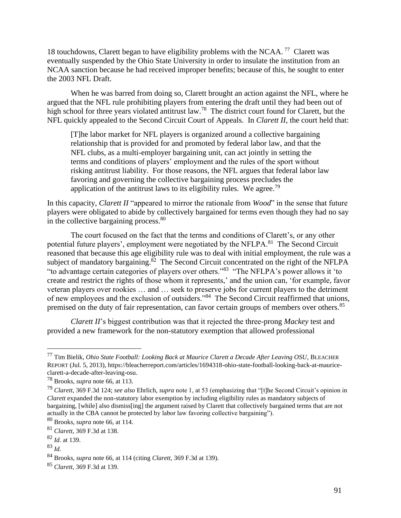18 touchdowns, Clarett began to have eligibility problems with the NCAA.<sup>77</sup> Clarett was eventually suspended by the Ohio State University in order to insulate the institution from an NCAA sanction because he had received improper benefits; because of this, he sought to enter the 2003 NFL Draft.

When he was barred from doing so, Clarett brought an action against the NFL, where he argued that the NFL rule prohibiting players from entering the draft until they had been out of high school for three years violated antitrust law.<sup>78</sup> The district court found for Clarett, but the NFL quickly appealed to the Second Circuit Court of Appeals. In *Clarett II*, the court held that:

[T]he labor market for NFL players is organized around a collective bargaining relationship that is provided for and promoted by federal labor law, and that the NFL clubs, as a multi-employer bargaining unit, can act jointly in setting the terms and conditions of players' employment and the rules of the sport without risking antitrust liability. For those reasons, the NFL argues that federal labor law favoring and governing the collective bargaining process precludes the application of the antitrust laws to its eligibility rules. We agree.<sup>79</sup>

In this capacity, *Clarett II* "appeared to mirror the rationale from *Wood*" in the sense that future players were obligated to abide by collectively bargained for terms even though they had no say in the collective bargaining process.<sup>80</sup>

The court focused on the fact that the terms and conditions of Clarett's, or any other potential future players', employment were negotiated by the NFLPA.<sup>81</sup> The Second Circuit reasoned that because this age eligibility rule was to deal with initial employment, the rule was a subject of mandatory bargaining.<sup>82</sup> The Second Circuit concentrated on the right of the NFLPA "to advantage certain categories of players over others."<sup>83</sup> "The NFLPA's power allows it 'to create and restrict the rights of those whom it represents,' and the union can, 'for example, favor veteran players over rookies … and … seek to preserve jobs for current players to the detriment of new employees and the exclusion of outsiders."<sup>84</sup> The Second Circuit reaffirmed that unions, premised on the duty of fair representation, can favor certain groups of members over others.<sup>85</sup>

*Clarett II*'s biggest contribution was that it rejected the three-prong *Mackey* test and provided a new framework for the non-statutory exemption that allowed professional

<sup>77</sup> Tim Bielik, *Ohio State Football: Looking Back at Maurice Clarett a Decade After Leaving OSU*, BLEACHER REPORT (Jul. 5, 2013), https://bleacherreport.com/articles/1694318-ohio-state-football-looking-back-at-mauriceclarett-a-decade-after-leaving-osu.

<sup>78</sup> Brooks, *supra* note 66, at 113.

<sup>79</sup> *Clarett*, 369 F.3d 124; *see also* Ehrlich, *supra* note 1, at 53 (emphasizing that "[t]he Second Circuit's opinion in *Clarett* expanded the non-statutory labor exemption by including eligibility rules as mandatory subjects of bargaining, [while] also dismiss[ing] the argument raised by Clarett that collectively bargained terms that are not actually in the CBA cannot be protected by labor law favoring collective bargaining").

<sup>80</sup> Brooks, *supra* note 66, at 114.

<sup>81</sup> *Clarett*, 369 F.3d at 138.

<sup>82</sup> *Id.* at 139.

<sup>83</sup> *Id.*

<sup>84</sup> Brooks, *supra* note 66, at 114 (citing *Clarett*, 369 F.3d at 139).

<sup>85</sup> *Clarett*, 369 F.3d at 139.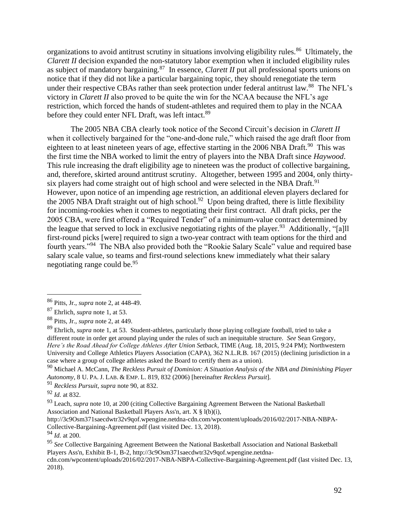organizations to avoid antitrust scrutiny in situations involving eligibility rules.<sup>86</sup> Ultimately, the *Clarett II* decision expanded the non-statutory labor exemption when it included eligibility rules as subject of mandatory bargaining.<sup>87</sup> In essence, *Clarett II* put all professional sports unions on notice that if they did not like a particular bargaining topic, they should renegotiate the term under their respective CBAs rather than seek protection under federal antitrust law.<sup>88</sup> The NFL's victory in *Clarett II* also proved to be quite the win for the NCAA because the NFL's age restriction, which forced the hands of student-athletes and required them to play in the NCAA before they could enter NFL Draft, was left intact.<sup>89</sup>

The 2005 NBA CBA clearly took notice of the Second Circuit's decision in *Clarett II*  when it collectively bargained for the "one-and-done rule," which raised the age draft floor from eighteen to at least nineteen years of age, effective starting in the 2006 NBA Draft.<sup>90</sup> This was the first time the NBA worked to limit the entry of players into the NBA Draft since *Haywood*. This rule increasing the draft eligibility age to nineteen was the product of collective bargaining, and, therefore, skirted around antitrust scrutiny. Altogether, between 1995 and 2004, only thirtysix players had come straight out of high school and were selected in the NBA Draft.<sup>91</sup> However, upon notice of an impending age restriction, an additional eleven players declared for the 2005 NBA Draft straight out of high school.<sup>92</sup> Upon being drafted, there is little flexibility for incoming-rookies when it comes to negotiating their first contract. All draft picks, per the 2005 CBA, were first offered a "Required Tender" of a minimum-value contract determined by the league that served to lock in exclusive negotiating rights of the player.<sup>93</sup> Additionally, "[a]ll first-round picks [were] required to sign a two-year contract with team options for the third and fourth years."<sup>94</sup> The NBA also provided both the "Rookie Salary Scale" value and required base salary scale value, so teams and first-round selections knew immediately what their salary negotiating range could be.<sup>95</sup>

http://3c9Osm371saecdwtr32v9qof.wpengine.netdna-cdn.com/wpcontent/uploads/2016/02/2017-NBA-NBPA-Collective-Bargaining-Agreement.pdf (last visited Dec. 13, 2018).

<sup>94</sup> *Id.* at 200.

<sup>86</sup> Pitts, Jr., *supra* note 2, at 448-49.

<sup>87</sup> Ehrlich, *supra* note 1, at 53.

<sup>88</sup> Pitts, Jr., *supra* note 2, at 449.

<sup>89</sup> Ehrlich, *supra* note 1, at 53. Student-athletes, particularly those playing collegiate football, tried to take a different route in order get around playing under the rules of such an inequitable structure. *See* Sean Gregory, *Here's the Road Ahead for College Athletes After Union Setback*, TIME (Aug. 18, 2015, 9:24 PM); Northwestern University and College Athletics Players Association (CAPA), 362 N.L.R.B. 167 (2015) (declining jurisdiction in a case where a group of college athletes asked the Board to certify them as a union).

<sup>90</sup> Michael A. McCann, *The Reckless Pursuit of Dominion: A Situation Analysis of the NBA and Diminishing Player Autonomy*, 8 U. PA. J. LAB. & EMP. L. 819, 832 (2006) [hereinafter *Reckless Pursuit*].

<sup>91</sup> *Reckless Pursuit*, *supra* note 90, at 832.

<sup>92</sup> *Id.* at 832.

<sup>93</sup> Leach, *supra* note 10, at 200 (citing Collective Bargaining Agreement Between the National Basketball Association and National Basketball Players Ass'n, art. X § l(b)(i),

<sup>95</sup> *See* Collective Bargaining Agreement Between the National Basketball Association and National Basketball Players Ass'n, Exhibit B-1, B-2, http://3c9Osm371saecdwtr32v9qof.wpengine.netdna-

cdn.com/wpcontent/uploads/2016/02/2017-NBA-NBPA-Collective-Bargaining-Agreement.pdf (last visited Dec. 13, 2018).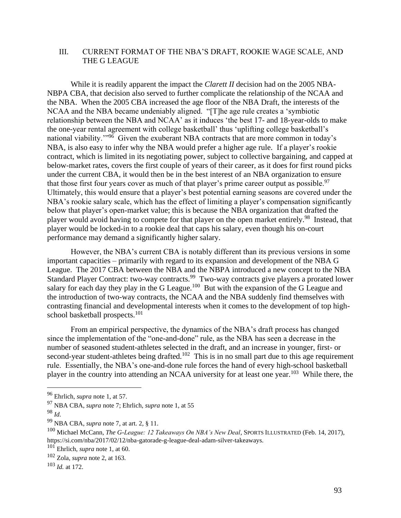## III. CURRENT FORMAT OF THE NBA'S DRAFT, ROOKIE WAGE SCALE, AND THE G LEAGUE

While it is readily apparent the impact the *Clarett II* decision had on the 2005 NBA-NBPA CBA, that decision also served to further complicate the relationship of the NCAA and the NBA. When the 2005 CBA increased the age floor of the NBA Draft, the interests of the NCAA and the NBA became undeniably aligned. "[T]he age rule creates a 'symbiotic relationship between the NBA and NCAA' as it induces 'the best 17- and 18-year-olds to make the one-year rental agreement with college basketball' thus 'uplifting college basketball's national viability."<sup>96</sup> Given the exuberant NBA contracts that are more common in today's NBA, is also easy to infer why the NBA would prefer a higher age rule. If a player's rookie contract, which is limited in its negotiating power, subject to collective bargaining, and capped at below-market rates, covers the first couple of years of their career, as it does for first round picks under the current CBA, it would then be in the best interest of an NBA organization to ensure that those first four years cover as much of that player's prime career output as possible.<sup>97</sup> Ultimately, this would ensure that a player's best potential earning seasons are covered under the NBA's rookie salary scale, which has the effect of limiting a player's compensation significantly below that player's open-market value; this is because the NBA organization that drafted the player would avoid having to compete for that player on the open market entirely.<sup>98</sup> Instead, that player would be locked-in to a rookie deal that caps his salary, even though his on-court performance may demand a significantly higher salary.

However, the NBA's current CBA is notably different than its previous versions in some important capacities – primarily with regard to its expansion and development of the NBA G League. The 2017 CBA between the NBA and the NBPA introduced a new concept to the NBA Standard Player Contract: two-way contracts.<sup>99</sup> Two-way contracts give players a prorated lower salary for each day they play in the G League.<sup>100</sup> But with the expansion of the G League and the introduction of two-way contracts, the NCAA and the NBA suddenly find themselves with contrasting financial and developmental interests when it comes to the development of top highschool basketball prospects.<sup>101</sup>

From an empirical perspective, the dynamics of the NBA's draft process has changed since the implementation of the "one-and-done" rule, as the NBA has seen a decrease in the number of seasoned student-athletes selected in the draft, and an increase in younger, first- or second-year student-athletes being drafted.<sup>102</sup> This is in no small part due to this age requirement rule. Essentially, the NBA's one-and-done rule forces the hand of every high-school basketball player in the country into attending an NCAA university for at least one year.<sup>103</sup> While there, the

<sup>96</sup> Ehrlich, *supra* note 1, at 57.

<sup>97</sup> NBA CBA, *supra* note 7; Ehrlich, *supra* note 1, at 55

<sup>98</sup> *Id.*

<sup>99</sup> NBA CBA, *supra* note 7, at art. 2, § 11.

<sup>100</sup> Michael McCann, *The G-League: 12 Takeaways On NBA's New Deal*, SPORTS ILLUSTRATED (Feb. 14, 2017), https://si.com/nba/2017/02/12/nba-gatorade-g-league-deal-adam-silver-takeaways.

<sup>101</sup> Ehrlich, *supra* note 1, at 60.

<sup>102</sup> Zola, *supra* note 2, at 163.

<sup>103</sup> *Id.* at 172.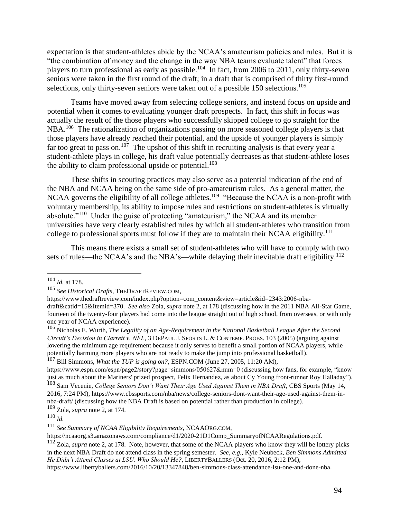expectation is that student-athletes abide by the NCAA's amateurism policies and rules. But it is "the combination of money and the change in the way NBA teams evaluate talent" that forces players to turn professional as early as possible.<sup>104</sup> In fact, from 2006 to 2011, only thirty-seven seniors were taken in the first round of the draft; in a draft that is comprised of thirty first-round selections, only thirty-seven seniors were taken out of a possible 150 selections.<sup>105</sup>

Teams have moved away from selecting college seniors, and instead focus on upside and potential when it comes to evaluating younger draft prospects. In fact, this shift in focus was actually the result of the those players who successfully skipped college to go straight for the NBA.<sup>106</sup> The rationalization of organizations passing on more seasoned college players is that those players have already reached their potential, and the upside of younger players is simply far too great to pass on.<sup>107</sup> The upshot of this shift in recruiting analysis is that every year a student-athlete plays in college, his draft value potentially decreases as that student-athlete loses the ability to claim professional upside or potential.<sup>108</sup>

These shifts in scouting practices may also serve as a potential indication of the end of the NBA and NCAA being on the same side of pro-amateurism rules. As a general matter, the NCAA governs the eligibility of all college athletes.<sup>109</sup> "Because the NCAA is a non-profit with voluntary membership, its ability to impose rules and restrictions on student-athletes is virtually absolute."<sup>110</sup> Under the guise of protecting "amateurism," the NCAA and its member universities have very clearly established rules by which all student-athletes who transition from college to professional sports must follow if they are to maintain their NCAA eligibility.<sup>111</sup>

This means there exists a small set of student-athletes who will have to comply with two sets of rules—the NCAA's and the NBA's—while delaying their inevitable draft eligibility.<sup>112</sup>

<sup>107</sup> Bill Simmons, *What the TUP is going on?*, ESPN.COM (June 27, 2005, 11:20 AM),

https://ncaaorg.s3.amazonaws.com/compliance/d1/2020-21D1Comp\_SummaryofNCAARegulations.pdf.

<sup>104</sup> *Id.* at 178.

<sup>105</sup> *See Historical Drafts*, THEDRAFTREVIEW.COM,

https://www.thedraftreview.com/index.php?option=com\_content&view=article&id=2343:2006-nbadraft&catid=15&Itemid=370. *See also* Zola, *supra* note 2, at 178 (discussing how in the 2011 NBA All-Star Game, fourteen of the twenty-four players had come into the league straight out of high school, from overseas, or with only one year of NCAA experience).

<sup>106</sup> Nicholas E. Wurth, *The Legality of an Age-Requirement in the National Basketball League After the Second Circuit's Decision in Clarrett v. NFL*, 3 DEPAUL J. SPORTS L. & CONTEMP. PROBS. 103 (2005) (arguing against lowering the minimum age requirement because it only serves to benefit a small portion of NCAA players, while potentially harming more players who are not ready to make the jump into professional basketball).

https://www.espn.com/espn/page2/story?page=simmons/050627&num=0 (discussing how fans, for example, "know just as much about the Mariners' prized prospect, Felix Hernandez, as about Cy Young front-runner Roy Halladay"). <sup>108</sup> Sam Vecenie, *College Seniors Don't Want Their Age Used Against Them in NBA Draft*, CBS Sports (May 14,

<sup>2016, 7:24</sup> PM), https://www.cbssports.com/nba/news/college-seniors-dont-want-their-age-used-against-them-innba-draft/ (discussing how the NBA Draft is based on potential rather than production in college). <sup>109</sup> Zola, *supra* note 2, at 174.

<sup>110</sup> *Id.*

<sup>111</sup> *See Summary of NCAA Eligibility Requirements*, NCAAORG.COM,

<sup>112</sup> Zola, *supra* note 2, at 178. Note, however, that some of the NCAA players who know they will be lottery picks in the next NBA Draft do not attend class in the spring semester. *See*, *e.g.*, Kyle Neubeck, *Ben Simmons Admitted He Didn't Attend Classes at LSU. Who Should He?*, LIBERTYBALLERS (Oct. 20, 2016, 2:12 PM),

https://www.libertyballers.com/2016/10/20/13347848/ben-simmons-class-attendance-lsu-one-and-done-nba.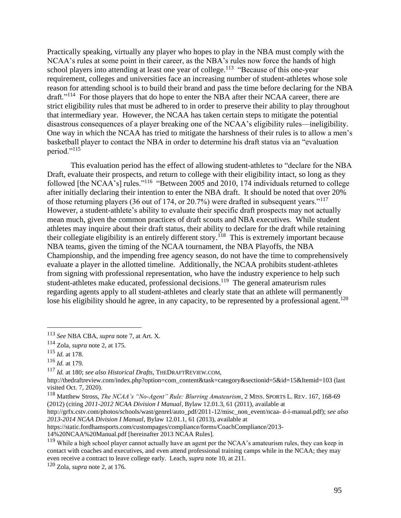Practically speaking, virtually any player who hopes to play in the NBA must comply with the NCAA's rules at some point in their career, as the NBA's rules now force the hands of high school players into attending at least one year of college.<sup>113</sup> "Because of this one-year requirement, colleges and universities face an increasing number of student-athletes whose sole reason for attending school is to build their brand and pass the time before declaring for the NBA draft."<sup>114</sup> For those players that do hope to enter the NBA after their NCAA career, there are strict eligibility rules that must be adhered to in order to preserve their ability to play throughout that intermediary year. However, the NCAA has taken certain steps to mitigate the potential disastrous consequences of a player breaking one of the NCAA's eligibility rules—ineligibility. One way in which the NCAA has tried to mitigate the harshness of their rules is to allow a men's basketball player to contact the NBA in order to determine his draft status via an "evaluation period."<sup>115</sup>

This evaluation period has the effect of allowing student-athletes to "declare for the NBA Draft, evaluate their prospects, and return to college with their eligibility intact, so long as they followed [the NCAA's] rules."<sup>116</sup> "Between 2005 and 2010, 174 individuals returned to college after initially declaring their intention to enter the NBA draft. It should be noted that over 20% of those returning players (36 out of 174, or 20.7%) were drafted in subsequent years."<sup>117</sup> However, a student-athlete's ability to evaluate their specific draft prospects may not actually mean much, given the common practices of draft scouts and NBA executives. While student athletes may inquire about their draft status, their ability to declare for the draft while retaining their collegiate eligibility is an entirely different story.<sup>118</sup> This is extremely important because NBA teams, given the timing of the NCAA tournament, the NBA Playoffs, the NBA Championship, and the impending free agency season, do not have the time to comprehensively evaluate a player in the allotted timeline. Additionally, the NCAA prohibits student-athletes from signing with professional representation, who have the industry experience to help such student-athletes make educated, professional decisions.<sup>119</sup> The general amateurism rules regarding agents apply to all student-athletes and clearly state that an athlete will permanently lose his eligibility should he agree, in any capacity, to be represented by a professional agent.<sup>120</sup>

<sup>113</sup> *See* NBA CBA, *supra* note 7, at Art. X.

<sup>114</sup> Zola, *supra* note 2, at 175.

<sup>115</sup> *Id.* at 178.

<sup>116</sup> *Id.* at 179.

<sup>117</sup> *Id.* at 180; *see also Historical Drafts*, THEDRAFTREVIEW.COM,

http://thedraftreview.com/index.php?option=com\_content&task=category&sectionid=5&id=15&Itemid=103 (last visited Oct. 7, 2020).

<sup>118</sup> Matthew Stross, *The NCAA's "No-Agent" Rule: Blurring Amateurism*, 2 MISS. SPORTS L. REV. 167, 168-69 (2012) (citing *2011-2012 NCAA Division I Manual*, Bylaw 12.01.3, 61 (2011), available at

http://grfx.cstv.com/photos/schools/wast/genrel/auto\_pdf/2011-12/misc\_non\_event/ncaa- d-i-manual.pdf); *see also 2013-2014 NCAA Division I Manual*, Bylaw 12.01.1, 61 (2013), available at

https://static.fordhamsports.com/custompages/compliance/forms/CoachCompliance/2013-

<sup>14%20</sup>NCAA%20Manual.pdf [hereinafter 2013 NCAA Rules].

<sup>&</sup>lt;sup>119</sup> While a high school player cannot actually have an agent per the NCAA's amateurism rules, they can keep in contact with coaches and executives, and even attend professional training camps while in the NCAA; they may even receive a contract to leave college early. Leach, *supra* note 10, at 211.

<sup>120</sup> Zola, *supra* note 2, at 176.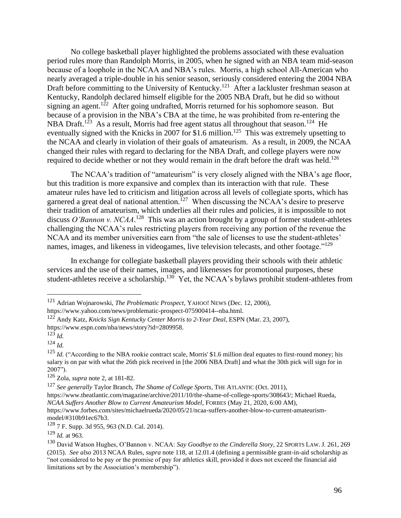No college basketball player highlighted the problems associated with these evaluation period rules more than Randolph Morris, in 2005, when he signed with an NBA team mid-season because of a loophole in the NCAA and NBA's rules. Morris, a high school All-American who nearly averaged a triple-double in his senior season, seriously considered entering the 2004 NBA Draft before committing to the University of Kentucky.<sup>121</sup> After a lackluster freshman season at Kentucky, Randolph declared himself eligible for the 2005 NBA Draft, but he did so without signing an agent.<sup>122</sup> After going undrafted, Morris returned for his sophomore season. But because of a provision in the NBA's CBA at the time, he was prohibited from re-entering the NBA Draft.<sup>123</sup> As a result, Morris had free agent status all throughout that season.<sup>124</sup> He eventually signed with the Knicks in 2007 for \$1.6 million.<sup>125</sup> This was extremely upsetting to the NCAA and clearly in violation of their goals of amateurism. As a result, in 2009, the NCAA changed their rules with regard to declaring for the NBA Draft, and college players were now required to decide whether or not they would remain in the draft before the draft was held.<sup>126</sup>

The NCAA's tradition of "amateurism" is very closely aligned with the NBA's age floor, but this tradition is more expansive and complex than its interaction with that rule. These amateur rules have led to criticism and litigation across all levels of collegiate sports, which has garnered a great deal of national attention.<sup>127</sup> When discussing the NCAA's desire to preserve their tradition of amateurism, which underlies all their rules and policies, it is impossible to not discuss *O'Bannon v. NCAA*.<sup>128</sup> This was an action brought by a group of former student-athletes challenging the NCAA's rules restricting players from receiving any portion of the revenue the NCAA and its member universities earn from "the sale of licenses to use the student-athletes' names, images, and likeness in videogames, live television telecasts, and other footage."<sup>129</sup>

In exchange for collegiate basketball players providing their schools with their athletic services and the use of their names, images, and likenesses for promotional purposes, these student-athletes receive a scholarship.<sup>130</sup> Yet, the NCAA's bylaws prohibit student-athletes from

<sup>121</sup> Adrian Wojnarowski, *The Problematic Prospect*, YAHOO! NEWS (Dec. 12, 2006), https://www.yahoo.com/news/problematic-prospect-075900414--nba.html.

<sup>122</sup> Andy Katz, *Knicks Sign Kentucky Center Morris to 2-Year Deal*, ESPN (Mar. 23, 2007), https://www.espn.com/nba/news/story?id=2809958.

<sup>123</sup> *Id.*

<sup>124</sup> *Id.*

<sup>&</sup>lt;sup>125</sup> *Id.* ("According to the NBA rookie contract scale, Morris' \$1.6 million deal equates to first-round money; his salary is on par with what the 26th pick received in [the 2006 NBA Draft] and what the 30th pick will sign for in 2007").

<sup>126</sup> Zola, *supra* note 2, at 181-82.

<sup>127</sup> *See generally* Taylor Branch, *The Shame of College Sports*, THE ATLANTIC (Oct. 2011),

https://www.theatlantic.com/magazine/archive/2011/10/the-shame-of-college-sports/308643/; Michael Rueda, *NCAA Suffers Another Blow to Current Amateurism Model*, FORBES (May 21, 2020, 6:00 AM),

https://www.forbes.com/sites/michaelrueda/2020/05/21/ncaa-suffers-another-blow-to-current-amateurismmodel/#310b91ec67b3.

<sup>128</sup> 7 F. Supp. 3d 955, 963 (N.D. Cal. 2014).

<sup>129</sup> *Id.* at 963.

<sup>130</sup> David Watson Hughes, O'Bannon v. NCAA: *Say Goodbye to the Cinderella Story*, 22 SPORTS LAW. J. 261, 269 (2015). *See also* 2013 NCAA Rules, *supra* note 118, at 12.01.4 (defining a permissible grant-in-aid scholarship as "not considered to be pay or the promise of pay for athletics skill, provided it does not exceed the financial aid limitations set by the Association's membership").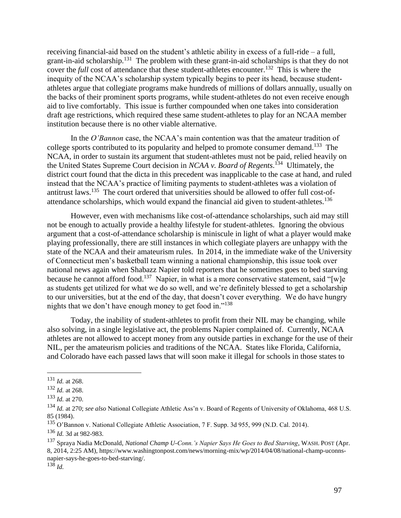receiving financial-aid based on the student's athletic ability in excess of a full-ride – a full, grant-in-aid scholarship.<sup>131</sup> The problem with these grant-in-aid scholarships is that they do not cover the *full* cost of attendance that these student-athletes encounter.<sup>132</sup> This is where the inequity of the NCAA's scholarship system typically begins to peer its head, because studentathletes argue that collegiate programs make hundreds of millions of dollars annually, usually on the backs of their prominent sports programs, while student-athletes do not even receive enough aid to live comfortably. This issue is further compounded when one takes into consideration draft age restrictions, which required these same student-athletes to play for an NCAA member institution because there is no other viable alternative.

In the *O'Bannon* case, the NCAA's main contention was that the amateur tradition of college sports contributed to its popularity and helped to promote consumer demand.<sup>133</sup> The NCAA, in order to sustain its argument that student-athletes must not be paid, relied heavily on the United States Supreme Court decision in *NCAA v. Board of Regents*. 134 Ultimately, the district court found that the dicta in this precedent was inapplicable to the case at hand, and ruled instead that the NCAA's practice of limiting payments to student-athletes was a violation of antitrust laws.<sup>135</sup> The court ordered that universities should be allowed to offer full cost-ofattendance scholarships, which would expand the financial aid given to student-athletes.<sup>136</sup>

However, even with mechanisms like cost-of-attendance scholarships, such aid may still not be enough to actually provide a healthy lifestyle for student-athletes. Ignoring the obvious argument that a cost-of-attendance scholarship is miniscule in light of what a player would make playing professionally, there are still instances in which collegiate players are unhappy with the state of the NCAA and their amateurism rules. In 2014, in the immediate wake of the University of Connecticut men's basketball team winning a national championship, this issue took over national news again when Shabazz Napier told reporters that he sometimes goes to bed starving because he cannot afford food.<sup>137</sup> Napier, in what is a more conservative statement, said "[w]e as students get utilized for what we do so well, and we're definitely blessed to get a scholarship to our universities, but at the end of the day, that doesn't cover everything. We do have hungry nights that we don't have enough money to get food in."<sup>138</sup>

Today, the inability of student-athletes to profit from their NIL may be changing, while also solving, in a single legislative act, the problems Napier complained of. Currently, NCAA athletes are not allowed to accept money from any outside parties in exchange for the use of their NIL, per the amateurism policies and traditions of the NCAA. States like Florida, California, and Colorado have each passed laws that will soon make it illegal for schools in those states to

<sup>131</sup> *Id.* at 268.

<sup>132</sup> *Id.* at 268.

<sup>133</sup> *Id.* at 270.

<sup>134</sup> *Id.* at 270; *see also* National Collegiate Athletic Ass'n v. Board of Regents of University of Oklahoma, 468 U.S. 85 (1984).

<sup>&</sup>lt;sup>135</sup> O'Bannon v. National Collegiate Athletic Association, 7 F. Supp. 3d 955, 999 (N.D. Cal. 2014).

<sup>136</sup> *Id.* 3d at 982-983.

<sup>137</sup> Spraya Nadia McDonald, *National Champ U-Conn.'s Napier Says He Goes to Bed Starving*, WASH. POST (Apr. 8, 2014, 2:25 AM), https://www.washingtonpost.com/news/morning-mix/wp/2014/04/08/national-champ-uconnsnapier-says-he-goes-to-bed-starving/.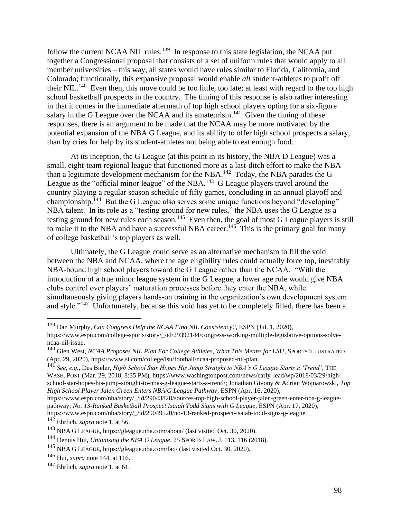follow the current NCAA NIL rules.<sup>139</sup> In response to this state legislation, the NCAA put together a Congressional proposal that consists of a set of uniform rules that would apply to all member universities – this way, all states would have rules similar to Florida, California, and Colorado; functionally, this expansive proposal would enable *all* student-athletes to profit off their NIL.<sup>140</sup> Even then, this move could be too little, too late; at least with regard to the top high school basketball prospects in the country. The timing of this response is also rather interesting in that it comes in the immediate aftermath of top high school players opting for a six-figure salary in the G League over the NCAA and its amateurism.<sup>141</sup> Given the timing of these responses, there is an argument to be made that the NCAA may be more motivated by the potential expansion of the NBA G League, and its ability to offer high school prospects a salary, than by cries for help by its student-athletes not being able to eat enough food.

At its inception, the G League (at this point in its history, the NBA D League) was a small, eight-team regional league that functioned more as a last-ditch effort to make the NBA than a legitimate development mechanism for the NBA.<sup>142</sup> Today, the NBA parades the G League as the "official minor league" of the NBA.<sup>143</sup> G League players travel around the country playing a regular season schedule of fifty games, concluding in an annual playoff and championship.<sup>144</sup> But the G League also serves some unique functions beyond "developing" NBA talent. In its role as a "testing ground for new rules," the NBA uses the G League as a testing ground for new rules each season.<sup>145</sup> Even then, the goal of most G League players is still to make it to the NBA and have a successful NBA career.<sup>146</sup> This is the primary goal for many of college basketball's top players as well.

Ultimately, the G League could serve as an alternative mechanism to fill the void between the NBA and NCAA, where the age eligibility rules could actually force top, inevitably NBA-bound high school players toward the G League rather than the NCAA. "With the introduction of a true minor league system in the G League, a lower age rule would give NBA clubs control over players' maturation processes before they enter the NBA, while simultaneously giving players hands-on training in the organization's own development system and style."<sup>147</sup> Unfortunately, because this void has yet to be completely filled, there has been a

<sup>142</sup> Ehrlich, *supra* note 1, at 56.

<sup>139</sup> Dan Murphy, *Can Congress Help the NCAA Find NIL Consistency?*, ESPN (Jul. 1, 2020), https://www.espn.com/college-sports/story/\_/id/29392144/congress-working-multiple-legislative-options-solvencaa-nil-issue.

<sup>140</sup> Glen West, *NCAA Proposes NIL Plan For College Athletes, What This Means for LSU*, SPORTS ILLUSTRATED (Apr. 29, 2020), https://www.si.com/college/lsu/football/ncaa-proposed-nil-plan.

<sup>141</sup> *See*, *e.g.*, Des Bieler, *High School Star Hopes His Jump Straight to NBA's G League Starts a 'Trend'*, THE WASH. POST (Mar. 29, 2018, 8:35 PM), https://www.washingtonpost.com/news/early-lead/wp/2018/03/29/highschool-star-hopes-his-jump-straight-to-nbas-g-league-starts-a-trend/; Jonathan Givony & Adrian Wojnarowski, *Top High School Player Jalen Green Enters NBA/G League Pathway*, ESPN (Apr. 16, 2020),

https://www.espn.com/nba/story/\_/id/29043828/sources-top-high-school-player-jalen-green-enter-nba-g-leaguepathway; *No. 13-Ranked Basketball Prospect Isaiah Todd Signs with G League*, ESPN (Apr. 17, 2020),

https://www.espn.com/nba/story/\_/id/29049520/no-13-ranked-prospect-isaiah-todd-signs-g-league.

<sup>143</sup> NBA G LEAGUE, https://gleague.nba.com/about/ (last visited Oct. 30, 2020).

<sup>144</sup> Dennis Hui, *Unionizing the NBA G League*, 25 SPORTS LAW. J. 113, 116 (2018).

<sup>145</sup> NBA G LEAGUE, https://gleague.nba.com/faq/ (last visited Oct. 30, 2020).

<sup>146</sup> Hui, *supra* note 144, at 116.

<sup>147</sup> Ehrlich, *supra* note 1, at 61.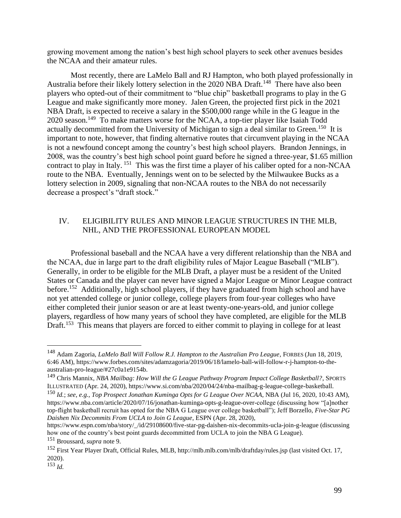growing movement among the nation's best high school players to seek other avenues besides the NCAA and their amateur rules.

Most recently, there are LaMelo Ball and RJ Hampton, who both played professionally in Australia before their likely lottery selection in the 2020 NBA Draft.<sup>148</sup> There have also been players who opted-out of their commitment to "blue chip" basketball programs to play in the G League and make significantly more money. Jalen Green, the projected first pick in the 2021 NBA Draft, is expected to receive a salary in the \$500,000 range while in the G league in the 2020 season.<sup>149</sup> To make matters worse for the NCAA, a top-tier player like Isaiah Todd actually decommitted from the University of Michigan to sign a deal similar to Green.<sup>150</sup> It is important to note, however, that finding alternative routes that circumvent playing in the NCAA is not a newfound concept among the country's best high school players. Brandon Jennings, in 2008, was the country's best high school point guard before he signed a three-year, \$1.65 million contract to play in Italy. <sup>151</sup> This was the first time a player of his caliber opted for a non-NCAA route to the NBA. Eventually, Jennings went on to be selected by the Milwaukee Bucks as a lottery selection in 2009, signaling that non-NCAA routes to the NBA do not necessarily decrease a prospect's "draft stock."

## IV. ELIGIBILITY RULES AND MINOR LEAGUE STRUCTURES IN THE MLB, NHL, AND THE PROFESSIONAL EUROPEAN MODEL

Professional baseball and the NCAA have a very different relationship than the NBA and the NCAA, due in large part to the draft eligibility rules of Major League Baseball ("MLB"). Generally, in order to be eligible for the MLB Draft, a player must be a resident of the United States or Canada and the player can never have signed a Major League or Minor League contract before.<sup>152</sup> Additionally, high school players, if they have graduated from high school and have not yet attended college or junior college, college players from four-year colleges who have either completed their junior season or are at least twenty-one-years-old, and junior college players, regardless of how many years of school they have completed, are eligible for the MLB Draft.<sup>153</sup> This means that players are forced to either commit to playing in college for at least

<sup>148</sup> Adam Zagoria, *LaMelo Ball Will Follow R.J. Hampton to the Australian Pro League*, FORBES (Jun 18, 2019, 6:46 AM), https://www.forbes.com/sites/adamzagoria/2019/06/18/lamelo-ball-will-follow-r-j-hampton-to-theaustralian-pro-league/#27c0a1e9154b.

<sup>149</sup> Chris Mannix, *NBA Mailbag: How Will the G League Pathway Program Impact College Basketball?*, SPORTS ILLUSTRATED (Apr. 24, 2020), https://www.si.com/nba/2020/04/24/nba-mailbag-g-league-college-basketball.

<sup>150</sup> *Id.*; *see*, *e.g.*, *Top Prospect Jonathan Kuminga Opts for G League Over NCAA*, NBA (Jul 16, 2020, 10:43 AM), https://www.nba.com/article/2020/07/16/jonathan-kuminga-opts-g-league-over-college (discussing how "[a]nother top-flight basketball recruit has opted for the NBA G League over college basketball"); Jeff Borzello, *Five-Star PG Daishen Nix Decommits From UCLA to Join G League*, ESPN (Apr. 28, 2020),

https://www.espn.com/nba/story/\_/id/29108600/five-star-pg-daishen-nix-decommits-ucla-join-g-league (discussing how one of the country's best point guards decommitted from UCLA to join the NBA G League).

<sup>151</sup> Broussard, *supra* note 9.

<sup>152</sup> First Year Player Draft, Official Rules, MLB, http://mlb.mlb.com/mlb/draftday/rules.jsp (last visited Oct. 17, 2020).

 $^{153}$  *Id.*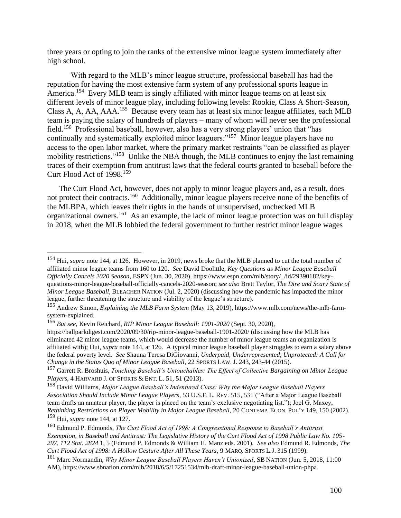three years or opting to join the ranks of the extensive minor league system immediately after high school.

With regard to the MLB's minor league structure, professional baseball has had the reputation for having the most extensive farm system of any professional sports league in America.<sup>154</sup> Every MLB team is singly affiliated with minor league teams on at least six different levels of minor league play, including following levels: Rookie, Class A Short-Season, Class A, A, AA, AAA.<sup>155</sup> Because every team has at least six minor league affiliates, each MLB team is paying the salary of hundreds of players – many of whom will never see the professional field.<sup>156</sup> Professional baseball, however, also has a very strong players' union that "has continually and systematically exploited minor leaguers."<sup>157</sup> Minor league players have no access to the open labor market, where the primary market restraints "can be classified as player mobility restrictions."<sup>158</sup> Unlike the NBA though, the MLB continues to enjoy the last remaining traces of their exemption from antitrust laws that the federal courts granted to baseball before the Curt Flood Act of 1998.<sup>159</sup>

The Curt Flood Act, however, does not apply to minor league players and, as a result, does not protect their contracts.<sup>160</sup> Additionally, minor league players receive none of the benefits of the MLBPA, which leaves their rights in the hands of unsupervised, unchecked MLB organizational owners.<sup>161</sup> As an example, the lack of minor league protection was on full display in 2018, when the MLB lobbied the federal government to further restrict minor league wages

<sup>154</sup> Hui, *supra* note 144, at 126. However, in 2019, news broke that the MLB planned to cut the total number of affiliated minor league teams from 160 to 120. *See* David Doolittle, *Key Questions as Minor League Baseball Officially Cancels 2020 Season*, ESPN (Jun. 30, 2020), https://www.espn.com/mlb/story/\_/id/29390182/keyquestions-minor-league-baseball-officially-cancels-2020-season; *see also* Brett Taylor, *The Dire and Scary State of Minor League Baseball*, BLEACHER NATION (Jul. 2, 2020) (discussing how the pandemic has impacted the minor league, further threatening the structure and viability of the league's structure).

<sup>155</sup> Andrew Simon, *Explaining the MLB Farm System* (May 13, 2019), https://www.mlb.com/news/the-mlb-farmsystem-explained.

<sup>156</sup> *But see*, Kevin Reichard, *RIP Minor League Baseball: 1901-2020* (Sept. 30, 2020),

https://ballparkdigest.com/2020/09/30/rip-minor-league-baseball-1901-2020/ (discussing how the MLB has eliminated 42 minor league teams, which would decrease the number of minor league teams an organization is affiliated with); Hui, *supra* note 144, at 126. A typical minor league baseball player struggles to earn a salary above the federal poverty level. *See* Shauna Teresa DiGiovanni, *Underpaid, Underrepresented, Unprotected: A Call for Change in the Status Quo of Minor League Baseball,* 22 SPORTS LAW. J. 243, 243-44 (2015).

<sup>157</sup> Garrett R. Broshuis, *Touching Baseball's Untouchables: The Effect of Collective Bargaining on Minor League Players*, 4 HARVARD J. OF SPORTS & ENT. L. 51, 51 (2013).

<sup>158</sup> David Williams, *Major League Baseball's Indentured Class: Why the Major League Baseball Players Association Should Include Minor League Players*, 53 U.S.F. L. REV. 515, 531 ("After a Major League Baseball team drafts an amateur player, the player is placed on the team's exclusive negotiating list."); Joel G. Maxcy, *Rethinking Restrictions on Player Mobility in Major League Baseball*, 20 CONTEMP. ECON. POL'Y 149, 150 (2002). <sup>159</sup> Hui, *supra* note 144, at 127.

<sup>160</sup> Edmund P. Edmonds, *The Curt Flood Act of 1998: A Congressional Response to Baseball's Antitrust Exemption, in Baseball and Antitrust: The Legislative History of the Curt Flood Act of 1998 Public Law No. 105- 297, 112 Stat. 2824* 1, 5 (Edmund P. Edmonds & William H. Manz eds. 2001). *See also* Edmund R. Edmonds, *The Curt Flood Act of 1998: A Hollow Gesture After All These Years*, 9 MARQ. SPORTS L.J. 315 (1999).

<sup>161</sup> Marc Normandin, *Why Minor League Baseball Players Haven't Unionized*, SB NATION (Jun. 5, 2018, 11:00 AM), https://www.sbnation.com/mlb/2018/6/5/17251534/mlb-draft-minor-league-baseball-union-phpa.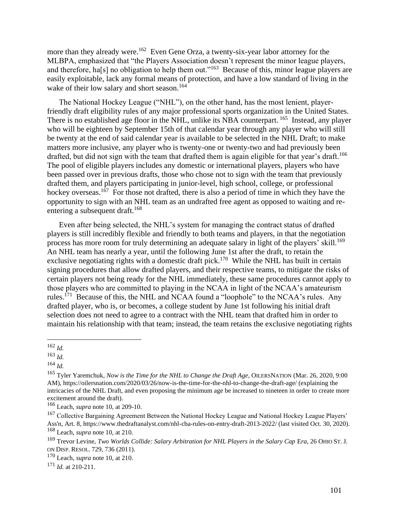more than they already were.<sup>162</sup> Even Gene Orza, a twenty-six-year labor attorney for the MLBPA, emphasized that "the Players Association doesn't represent the minor league players, and therefore, ha[s] no obligation to help them out."<sup>163</sup> Because of this, minor league players are easily exploitable, lack any formal means of protection, and have a low standard of living in the wake of their low salary and short season.<sup>164</sup>

The National Hockey League ("NHL"), on the other hand, has the most lenient, playerfriendly draft eligibility rules of any major professional sports organization in the United States. There is no established age floor in the NHL, unlike its NBA counterpart. <sup>165</sup> Instead, any player who will be eighteen by September 15th of that calendar year through any player who will still be twenty at the end of said calendar year is available to be selected in the NHL Draft; to make matters more inclusive, any player who is twenty-one or twenty-two and had previously been drafted, but did not sign with the team that drafted them is again eligible for that year's draft.<sup>166</sup> The pool of eligible players includes any domestic or international players, players who have been passed over in previous drafts, those who chose not to sign with the team that previously drafted them, and players participating in junior-level, high school, college, or professional hockey overseas.<sup>167</sup> For those not drafted, there is also a period of time in which they have the opportunity to sign with an NHL team as an undrafted free agent as opposed to waiting and reentering a subsequent draft.<sup>168</sup>

Even after being selected, the NHL's system for managing the contract status of drafted players is still incredibly flexible and friendly to both teams and players, in that the negotiation process has more room for truly determining an adequate salary in light of the players' skill.<sup>169</sup> An NHL team has nearly a year, until the following June 1st after the draft, to retain the exclusive negotiating rights with a domestic draft pick.<sup>170</sup> While the NHL has built in certain signing procedures that allow drafted players, and their respective teams, to mitigate the risks of certain players not being ready for the NHL immediately, these same procedures cannot apply to those players who are committed to playing in the NCAA in light of the NCAA's amateurism rules.<sup>171</sup> Because of this, the NHL and NCAA found a "loophole" to the NCAA's rules. Any drafted player, who is, or becomes, a college student by June 1st following his initial draft selection does not need to agree to a contract with the NHL team that drafted him in order to maintain his relationship with that team; instead, the team retains the exclusive negotiating rights

<sup>171</sup> *Id.* at 210-211.

<sup>162</sup> *Id.*

<sup>163</sup> *Id.*

<sup>164</sup> *Id.*

<sup>&</sup>lt;sup>165</sup> Tyler Yaremchuk, *Now is the Time for the NHL to Change the Draft Age*, OILERSNATION (Mar. 26, 2020, 9:00 AM), https://oilersnation.com/2020/03/26/now-is-the-time-for-the-nhl-to-change-the-draft-age/ (explaining the intricacies of the NHL Draft, and even proposing the minimum age be increased to nineteen in order to create more excitement around the draft).

<sup>166</sup> Leach, *supra* note 10, at 209-10.

<sup>&</sup>lt;sup>167</sup> Collective Bargaining Agreement Between the National Hockey League and National Hockey League Players' Ass'n, Art. 8, https://www.thedraftanalyst.com/nhl-cba-rules-on-entry-draft-2013-2022/ (last visited Oct. 30, 2020). <sup>168</sup> Leach, *supra* note 10, at 210.

<sup>&</sup>lt;sup>169</sup> Trevor Levine, *Two Worlds Collide: Salary Arbitration for NHL Players in the Salary Cap Era*, 26 OHIO ST. J. ON DISP. RESOL. 729, 736 (2011).

<sup>170</sup> Leach, *supra* note 10, at 210.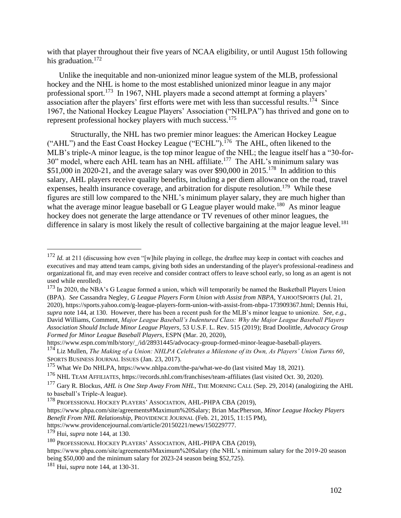with that player throughout their five years of NCAA eligibility, or until August 15th following his graduation. $172$ 

Unlike the inequitable and non-unionized minor league system of the MLB, professional hockey and the NHL is home to the most established unionized minor league in any major professional sport.<sup>173</sup> In 1967, NHL players made a second attempt at forming a players' association after the players' first efforts were met with less than successful results.<sup>174</sup> Since 1967, the National Hockey League Players' Association ("NHLPA") has thrived and gone on to represent professional hockey players with much success.<sup>175</sup>

Structurally, the NHL has two premier minor leagues: the American Hockey League ("AHL") and the East Coast Hockey League ("ECHL").<sup>176</sup> The AHL, often likened to the MLB's triple-A minor league, is the top minor league of the NHL; the league itself has a "30-for-30" model, where each AHL team has an NHL affiliate.<sup>177</sup> The AHL's minimum salary was  $$51,000$  in 2020-21, and the average salary was over \$90,000 in 2015.<sup>178</sup> In addition to this salary, AHL players receive quality benefits, including a per diem allowance on the road, travel expenses, health insurance coverage, and arbitration for dispute resolution.<sup>179</sup> While these figures are still low compared to the NHL's minimum player salary, they are much higher than what the average minor league baseball or G League player would make.<sup>180</sup> As minor league hockey does not generate the large attendance or TV revenues of other minor leagues, the difference in salary is most likely the result of collective bargaining at the major league level.<sup>181</sup>

https://www.providencejournal.com/article/20150221/news/150229777.

<sup>179</sup> Hui, *supra* note 144, at 130.

<sup>&</sup>lt;sup>172</sup> *Id.* at 211 (discussing how even "[w]hile playing in college, the draftee may keep in contact with coaches and executives and may attend team camps, giving both sides an understanding of the player's professional-readiness and organizational fit, and may even receive and consider contract offers to leave school early, so long as an agent is not used while enrolled).

<sup>&</sup>lt;sup>173</sup> In 2020, the NBA's G League formed a union, which will temporarily be named the Basketball Players Union (BPA). *See* Cassandra Negley, *G League Players Form Union with Assist from NBPA*, YAHOO!SPORTS (Jul. 21, 2020), https://sports.yahoo.com/g-league-players-form-union-with-assist-from-nbpa-173909367.html; Dennis Hui, *supra* note 144, at 130. However, there has been a recent push for the MLB's minor league to unionize. *See*, *e.g.*, David Williams, Comment, *Major League Baseball's Indentured Class: Why the Major League Baseball Players Association Should Include Minor League Players*, 53 U.S.F. L. Rev. 515 (2019); Brad Doolittle, *Advocacy Group Formed for Minor League Baseball Players*, ESPN (Mar. 20, 2020),

https://www.espn.com/mlb/story/\_/id/28931445/advocacy-group-formed-minor-league-baseball-players. <sup>174</sup> Liz Mullen, *The Making of a Union: NHLPA Celebrates a Milestone of its Own, As Players' Union Turns 60*, SPORTS BUSINESS JOURNAL ISSUES (Jan. 23, 2017).

<sup>&</sup>lt;sup>175</sup> What We Do NHLPA, https://www.nhlpa.com/the-pa/what-we-do (last visited May 18, 2021).

<sup>176</sup> NHL TEAM AFFILIATES, https://records.nhl.com/franchises/team-affiliates (last visited Oct. 30, 2020).

<sup>177</sup> Gary R. Blockus, *AHL is One Step Away From NHL*, THE MORNING CALL (Sep. 29, 2014) (analogizing the AHL to baseball's Triple-A league).

<sup>178</sup> PROFESSIONAL HOCKEY PLAYERS' ASSOCIATION, AHL-PHPA CBA (2019),

https://www.phpa.com/site/agreements#Maximum%20Salary; Brian MacPherson, *Minor League Hockey Players Benefit From NHL Relationship*, PROVIDENCE JOURNAL (Feb. 21, 2015, 11:15 PM),

<sup>180</sup> PROFESSIONAL HOCKEY PLAYERS' ASSOCIATION, AHL-PHPA CBA (2019),

https://www.phpa.com/site/agreements#Maximum%20Salary (the NHL's minimum salary for the 2019-20 season being \$50,000 and the minimum salary for 2023-24 season being \$52,725).

<sup>181</sup> Hui, *supra* note 144, at 130-31.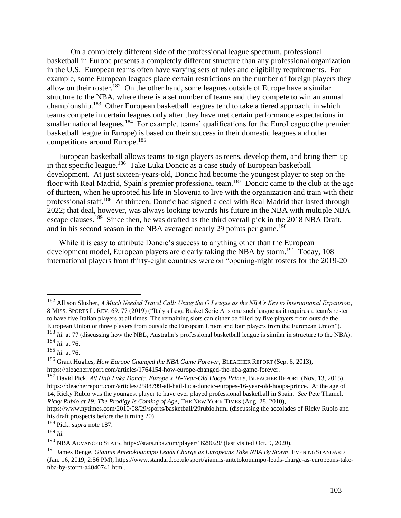On a completely different side of the professional league spectrum, professional basketball in Europe presents a completely different structure than any professional organization in the U.S. European teams often have varying sets of rules and eligibility requirements. For example, some European leagues place certain restrictions on the number of foreign players they allow on their roster.<sup>182</sup> On the other hand, some leagues outside of Europe have a similar structure to the NBA, where there is a set number of teams and they compete to win an annual championship.<sup>183</sup> Other European basketball leagues tend to take a tiered approach, in which teams compete in certain leagues only after they have met certain performance expectations in smaller national leagues.<sup>184</sup> For example, teams' qualifications for the EuroLeague (the premier basketball league in Europe) is based on their success in their domestic leagues and other competitions around Europe.<sup>185</sup>

European basketball allows teams to sign players as teens, develop them, and bring them up in that specific league.<sup>186</sup> Take Luka Doncic as a case study of European basketball development. At just sixteen-years-old, Doncic had become the youngest player to step on the floor with Real Madrid, Spain's premier professional team.<sup>187</sup> Doncic came to the club at the age of thirteen, when he uprooted his life in Slovenia to live with the organization and train with their professional staff.<sup>188</sup> At thirteen, Doncic had signed a deal with Real Madrid that lasted through 2022; that deal, however, was always looking towards his future in the NBA with multiple NBA escape clauses.<sup>189</sup> Since then, he was drafted as the third overall pick in the 2018 NBA Draft, and in his second season in the NBA averaged nearly 29 points per game.<sup>190</sup>

While it is easy to attribute Doncic's success to anything other than the European development model, European players are clearly taking the NBA by storm.<sup>191</sup> Today, 108 international players from thirty-eight countries were on "opening-night rosters for the 2019-20

<sup>182</sup> Allison Slusher, *A Much Needed Travel Call: Using the G League as the NBA's Key to International Expansion*, 8 MISS. SPORTS L. REV. 69, 77 (2019) ("Italy's Lega Basket Serie A is one such league as it requires a team's roster to have five Italian players at all times. The remaining slots can either be filled by five players from outside the European Union or three players from outside the European Union and four players from the European Union"). <sup>183</sup> *Id.* at 77 (discussing how the NBL, Australia's professional basketball league is similar in structure to the NBA).

<sup>184</sup> *Id.* at 76.

<sup>185</sup> *Id.* at 76.

<sup>186</sup> Grant Hughes, *How Europe Changed the NBA Game Forever*, BLEACHER REPORT (Sep. 6, 2013), https://bleacherreport.com/articles/1764154-how-europe-changed-the-nba-game-forever.

<sup>187</sup> David Pick, *All Hail Luka Doncic, Europe's 16-Year-Old Hoops Prince*, BLEACHER REPORT (Nov. 13, 2015), https://bleacherreport.com/articles/2588799-all-hail-luca-doncic-europes-16-year-old-hoops-prince. At the age of 14, Ricky Rubio was the youngest player to have ever played professional basketball in Spain. *See* Pete Thamel, *Ricky Rubio at 19: The Prodigy Is Coming of Age*, THE NEW YORK TIMES (Aug. 28, 2010),

https://www.nytimes.com/2010/08/29/sports/basketball/29rubio.html (discussing the accolades of Ricky Rubio and his draft prospects before the turning 20).

<sup>188</sup> Pick, *supra* note 187.

<sup>189</sup> *Id.*

<sup>190</sup> NBA ADVANCED STATS, https://stats.nba.com/player/1629029/ (last visited Oct. 9, 2020).

<sup>191</sup> James Benge, *Giannis Antetokounmpo Leads Charge as Europeans Take NBA By Storm*, EVENINGSTANDARD (Jan. 16, 2019, 2:56 PM), https://www.standard.co.uk/sport/giannis-antetokounmpo-leads-charge-as-europeans-takenba-by-storm-a4040741.html.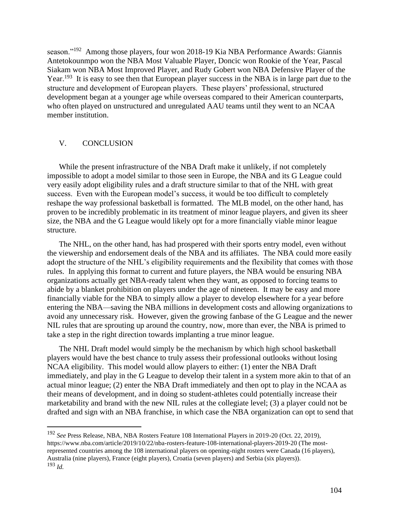season."<sup>192</sup> Among those players, four won 2018-19 Kia NBA Performance Awards: Giannis Antetokounmpo won the NBA Most Valuable Player, Doncic won Rookie of the Year, Pascal Siakam won NBA Most Improved Player, and Rudy Gobert won NBA Defensive Player of the Year.<sup>193</sup> It is easy to see then that European player success in the NBA is in large part due to the structure and development of European players. These players' professional, structured development began at a younger age while overseas compared to their American counterparts, who often played on unstructured and unregulated AAU teams until they went to an NCAA member institution.

#### V. CONCLUSION

While the present infrastructure of the NBA Draft make it unlikely, if not completely impossible to adopt a model similar to those seen in Europe, the NBA and its G League could very easily adopt eligibility rules and a draft structure similar to that of the NHL with great success. Even with the European model's success, it would be too difficult to completely reshape the way professional basketball is formatted. The MLB model, on the other hand, has proven to be incredibly problematic in its treatment of minor league players, and given its sheer size, the NBA and the G League would likely opt for a more financially viable minor league structure.

The NHL, on the other hand, has had prospered with their sports entry model, even without the viewership and endorsement deals of the NBA and its affiliates. The NBA could more easily adopt the structure of the NHL's eligibility requirements and the flexibility that comes with those rules. In applying this format to current and future players, the NBA would be ensuring NBA organizations actually get NBA-ready talent when they want, as opposed to forcing teams to abide by a blanket prohibition on players under the age of nineteen. It may be easy and more financially viable for the NBA to simply allow a player to develop elsewhere for a year before entering the NBA—saving the NBA millions in development costs and allowing organizations to avoid any unnecessary risk. However, given the growing fanbase of the G League and the newer NIL rules that are sprouting up around the country, now, more than ever, the NBA is primed to take a step in the right direction towards implanting a true minor league.

The NHL Draft model would simply be the mechanism by which high school basketball players would have the best chance to truly assess their professional outlooks without losing NCAA eligibility. This model would allow players to either: (1) enter the NBA Draft immediately, and play in the G League to develop their talent in a system more akin to that of an actual minor league; (2) enter the NBA Draft immediately and then opt to play in the NCAA as their means of development, and in doing so student-athletes could potentially increase their marketability and brand with the new NIL rules at the collegiate level; (3) a player could not be drafted and sign with an NBA franchise, in which case the NBA organization can opt to send that

<sup>192</sup> *See* Press Release, NBA, NBA Rosters Feature 108 International Players in 2019-20 (Oct. 22, 2019), https://www.nba.com/article/2019/10/22/nba-rosters-feature-108-international-players-2019-20 (The mostrepresented countries among the 108 international players on opening-night rosters were Canada (16 players), Australia (nine players), France (eight players), Croatia (seven players) and Serbia (six players)). <sup>193</sup> *Id.*